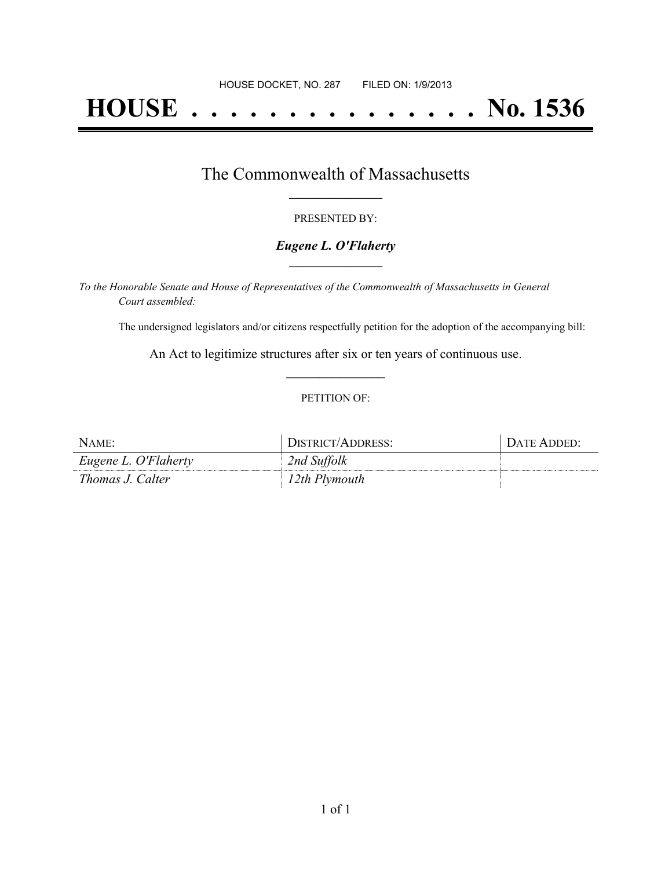# **HOUSE . . . . . . . . . . . . . . . No. 1536**

## The Commonwealth of Massachusetts **\_\_\_\_\_\_\_\_\_\_\_\_\_\_\_\_\_**

#### PRESENTED BY:

#### *Eugene L. O'Flaherty* **\_\_\_\_\_\_\_\_\_\_\_\_\_\_\_\_\_**

*To the Honorable Senate and House of Representatives of the Commonwealth of Massachusetts in General Court assembled:*

The undersigned legislators and/or citizens respectfully petition for the adoption of the accompanying bill:

An Act to legitimize structures after six or ten years of continuous use. **\_\_\_\_\_\_\_\_\_\_\_\_\_\_\_**

#### PETITION OF:

| NAME:                | DISTRICT/ADDRESS: | DATE ADDED: |
|----------------------|-------------------|-------------|
| Eugene L. O'Flaherty | 2nd Suffolk       |             |
| Thomas J. Calter     | 12th Plymouth     |             |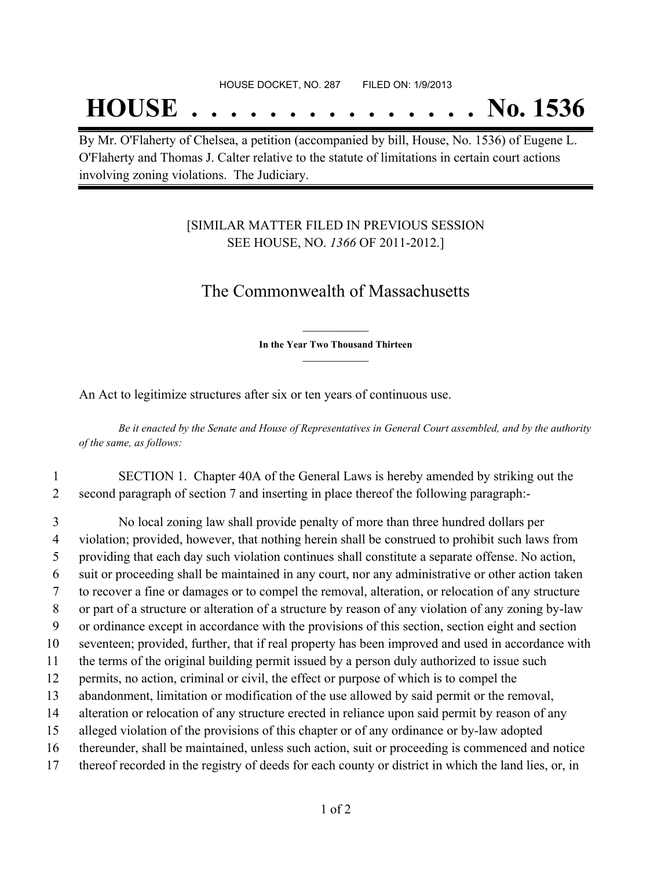## **HOUSE . . . . . . . . . . . . . . . No. 1536**

By Mr. O'Flaherty of Chelsea, a petition (accompanied by bill, House, No. 1536) of Eugene L. O'Flaherty and Thomas J. Calter relative to the statute of limitations in certain court actions involving zoning violations. The Judiciary.

### [SIMILAR MATTER FILED IN PREVIOUS SESSION SEE HOUSE, NO. *1366* OF 2011-2012.]

## The Commonwealth of Massachusetts

**\_\_\_\_\_\_\_\_\_\_\_\_\_\_\_ In the Year Two Thousand Thirteen \_\_\_\_\_\_\_\_\_\_\_\_\_\_\_**

An Act to legitimize structures after six or ten years of continuous use.

Be it enacted by the Senate and House of Representatives in General Court assembled, and by the authority *of the same, as follows:*

1 SECTION 1. Chapter 40A of the General Laws is hereby amended by striking out the 2 second paragraph of section 7 and inserting in place thereof the following paragraph:-

 No local zoning law shall provide penalty of more than three hundred dollars per violation; provided, however, that nothing herein shall be construed to prohibit such laws from providing that each day such violation continues shall constitute a separate offense. No action, suit or proceeding shall be maintained in any court, nor any administrative or other action taken to recover a fine or damages or to compel the removal, alteration, or relocation of any structure or part of a structure or alteration of a structure by reason of any violation of any zoning by-law or ordinance except in accordance with the provisions of this section, section eight and section seventeen; provided, further, that if real property has been improved and used in accordance with the terms of the original building permit issued by a person duly authorized to issue such permits, no action, criminal or civil, the effect or purpose of which is to compel the abandonment, limitation or modification of the use allowed by said permit or the removal, alteration or relocation of any structure erected in reliance upon said permit by reason of any alleged violation of the provisions of this chapter or of any ordinance or by-law adopted thereunder, shall be maintained, unless such action, suit or proceeding is commenced and notice thereof recorded in the registry of deeds for each county or district in which the land lies, or, in